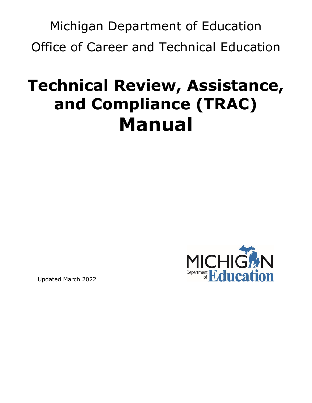Michigan Department of Education Office of Career and Technical Education

# **Technical Review, Assistance, and Compliance (TRAC) Manual**



Updated March 2022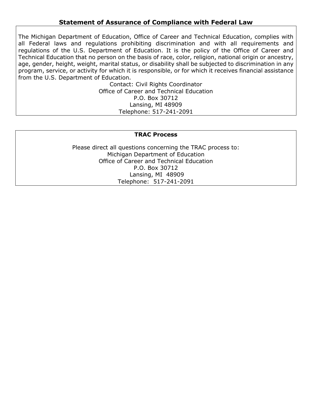### **Statement of Assurance of Compliance with Federal Law**

The Michigan Department of Education, Office of Career and Technical Education, complies with all Federal laws and regulations prohibiting discrimination and with all requirements and regulations of the U.S. Department of Education. It is the policy of the Office of Career and Technical Education that no person on the basis of race, color, religion, national origin or ancestry, age, gender, height, weight, marital status, or disability shall be subjected to discrimination in any program, service, or activity for which it is responsible, or for which it receives financial assistance from the U.S. Department of Education.

Contact: Civil Rights Coordinator Office of Career and Technical Education P.O. Box 30712 Lansing, MI 48909 Telephone: 517-241-2091

#### **TRAC Process**

Please direct all questions concerning the TRAC process to: Michigan Department of Education Office of Career and Technical Education P.O. Box 30712 Lansing, MI 48909 Telephone: 517-241-2091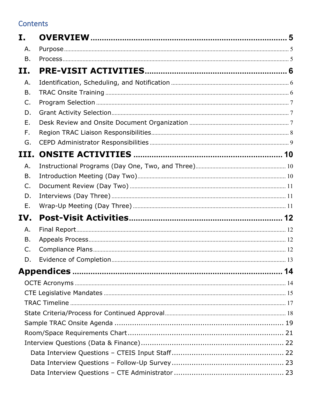# Contents

| I.        |  |
|-----------|--|
| Α.        |  |
| Β.        |  |
| II.       |  |
| Α.        |  |
| <b>B.</b> |  |
| C.        |  |
| D.        |  |
| Ε.        |  |
| F.        |  |
| G.        |  |
| III.      |  |
| Α.        |  |
| Β.        |  |
| C.        |  |
| D.        |  |
| Е.        |  |
| IV.       |  |
| Α.        |  |
| B.        |  |
| C.        |  |
| D.        |  |
|           |  |
|           |  |
|           |  |
|           |  |
|           |  |
|           |  |
|           |  |
|           |  |
|           |  |
|           |  |
|           |  |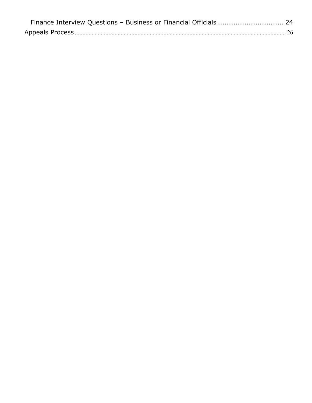| Finance Interview Questions - Business or Financial Officials  24 |  |
|-------------------------------------------------------------------|--|
|                                                                   |  |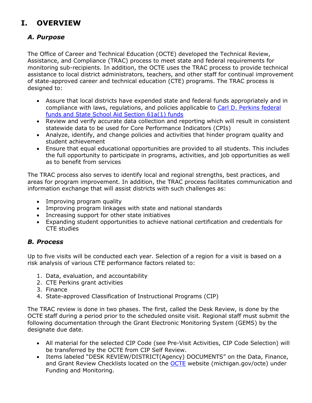# <span id="page-4-1"></span><span id="page-4-0"></span>**I. OVERVIEW**

### *A. Purpose*

The Office of Career and Technical Education (OCTE) developed the Technical Review, Assistance, and Compliance (TRAC) process to meet state and federal requirements for monitoring sub-recipients. In addition, the OCTE uses the TRAC process to provide technical assistance to local district administrators, teachers, and other staff for continual improvement of state-approved career and technical education (CTE) programs. The TRAC process is designed to:

- Assure that local districts have expended state and federal funds appropriately and in compliance with laws, regulations, and policies applicable to [Carl D. Perkins federal](#page-14-0)  [funds and State School Aid Section 61a\(1\) funds](#page-14-0)
- Review and verify accurate data collection and reporting which will result in consistent statewide data to be used for Core Performance Indicators (CPIs)
- Analyze, identify, and change policies and activities that hinder program quality and student achievement
- Ensure that equal educational opportunities are provided to all students. This includes the full opportunity to participate in programs, activities, and job opportunities as well as to benefit from services

The TRAC process also serves to identify local and regional strengths, best practices, and areas for program improvement. In addition, the TRAC process facilitates communication and information exchange that will assist districts with such challenges as:

- Improving program quality
- Improving program linkages with state and national standards
- Increasing support for other state initiatives
- Expanding student opportunities to achieve national certification and credentials for CTE studies

### <span id="page-4-2"></span>*B. Process*

Up to five visits will be conducted each year. Selection of a region for a visit is based on a risk analysis of various CTE performance factors related to:

- 1. Data, evaluation, and accountability
- 2. CTE Perkins grant activities
- 3. Finance
- 4. State-approved Classification of Instructional Programs (CIP)

The TRAC review is done in two phases. The first, called the Desk Review, is done by the OCTE staff during a period prior to the scheduled onsite visit. Regional staff must submit the following documentation through the Grant Electronic Monitoring System (GEMS) by the designate due date.

- All material for the selected CIP Code (see Pre-Visit Activities, CIP Code Selection) will be transferred by the OCTE from CIP Self Review.
- Items labeled "DESK REVIEW/DISTRICT(Agency) DOCUMENTS" on the Data, Finance, and Grant Review Checklists located on the **OCTE** website (michigan.gov/octe) under Funding and Monitoring.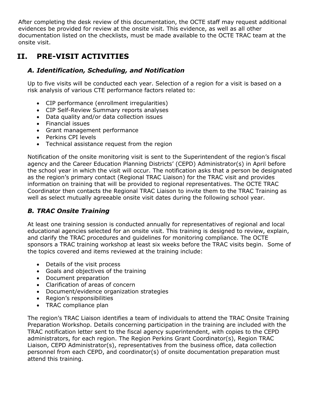After completing the desk review of this documentation, the OCTE staff may request additional evidences be provided for review at the onsite visit. This evidence, as well as all other documentation listed on the checklists, must be made available to the OCTE TRAC team at the onsite visit.

## <span id="page-5-1"></span><span id="page-5-0"></span>**II. PRE-VISIT ACTIVITIES**

### *A. Identification, Scheduling, and Notification*

Up to five visits will be conducted each year. Selection of a region for a visit is based on a risk analysis of various CTE performance factors related to:

- CIP performance (enrollment irregularities)
- CIP Self-Review Summary reports analyses
- Data quality and/or data collection issues
- Financial issues
- Grant management performance
- Perkins CPI levels
- Technical assistance request from the region

Notification of the onsite monitoring visit is sent to the Superintendent of the region's fiscal agency and the Career Education Planning Districts' (CEPD) Administrator(s) in April before the school year in which the visit will occur. The notification asks that a person be designated as the region's primary contact (Regional TRAC Liaison) for the TRAC visit and provides information on training that will be provided to regional representatives. The OCTE TRAC Coordinator then contacts the Regional TRAC Liaison to invite them to the TRAC Training as well as select mutually agreeable onsite visit dates during the following school year.

### <span id="page-5-2"></span>*B. TRAC Onsite Training*

At least one training session is conducted annually for representatives of regional and local educational agencies selected for an onsite visit. This training is designed to review, explain, and clarify the TRAC procedures and guidelines for monitoring compliance. The OCTE sponsors a TRAC training workshop at least six weeks before the TRAC visits begin. Some of the topics covered and items reviewed at the training include:

- Details of the visit process
- Goals and objectives of the training
- Document preparation
- Clarification of areas of concern
- Document/evidence organization strategies
- Region's responsibilities
- TRAC compliance plan

The region's TRAC Liaison identifies a team of individuals to attend the TRAC Onsite Training Preparation Workshop. Details concerning participation in the training are included with the TRAC notification letter sent to the fiscal agency superintendent, with copies to the CEPD administrators, for each region. The Region Perkins Grant Coordinator(s), Region TRAC Liaison, CEPD Administrator(s), representatives from the business office, data collection personnel from each CEPD, and coordinator(s) of onsite documentation preparation must attend this training.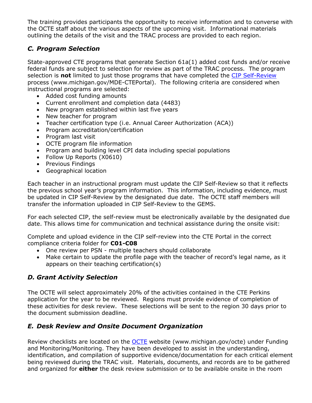The training provides participants the opportunity to receive information and to converse with the OCTE staff about the various aspects of the upcoming visit. Informational materials outlining the details of the visit and the TRAC process are provided to each region.

### <span id="page-6-0"></span>*C. Program Selection*

State-approved CTE programs that generate Section 61a(1) added cost funds and/or receive federal funds are subject to selection for review as part of the TRAC process. The program selection is **not** limited to just those programs that have completed the [CIP Self-Review](http://www.michigan.gov/MDE-CTEPortal) process (www.michigan.gov/MDE-CTEPortal). The following criteria are considered when instructional programs are selected:

- Added cost funding amounts
- Current enrollment and completion data (4483)
- New program established within last five years
- New teacher for program
- Teacher certification type (i.e. Annual Career Authorization (ACA))
- Program accreditation/certification
- Program last visit
- OCTE program file information
- Program and building level CPI data including special populations
- Follow Up Reports (X0610)
- Previous Findings
- Geographical location

Each teacher in an instructional program must update the CIP Self-Review so that it reflects the previous school year's program information. This information, including evidence, must be updated in CIP Self-Review by the designated due date. The OCTE staff members will transfer the information uploaded in CIP Self-Review to the GEMS.

For each selected CIP, the self-review must be electronically available by the designated due date. This allows time for communication and technical assistance during the onsite visit:

Complete and upload evidence in the CIP self-review into the CTE Portal in the correct compliance criteria folder for **C01-C08**

- One review per PSN multiple teachers should collaborate
- Make certain to update the profile page with the teacher of record's legal name, as it appears on their teaching certification(s)

### <span id="page-6-1"></span>*D. Grant Activity Selection*

The OCTE will select approximately 20% of the activities contained in the CTE Perkins application for the year to be reviewed. Regions must provide evidence of completion of these activities for desk review. These selections will be sent to the region 30 days prior to the document submission deadline.

### <span id="page-6-2"></span>*E. Desk Review and Onsite Document Organization*

Review checklists are located on the [OCTE](http://www.michigan.gov/octe) website (www.michigan.gov/octe) under Funding and Monitoring/Monitoring. They have been developed to assist in the understanding, identification, and compilation of supportive evidence/documentation for each critical element being reviewed during the TRAC visit. Materials, documents, and records are to be gathered and organized for **either** the desk review submission or to be available onsite in the room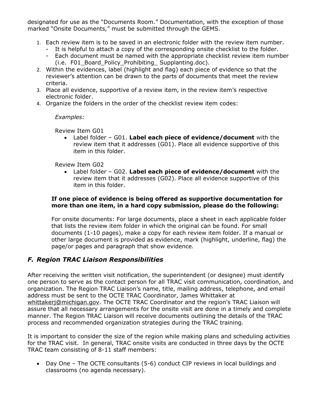designated for use as the "Documents Room." Documentation, with the exception of those marked "Onsite Documents," must be submitted through the GEMS.

- 1. Each review item is to be saved in an electronic folder with the review item number.
	- It is helpful to attach a copy of the corresponding onsite checklist to the folder.
	- Each document must be named with the appropriate checklist review item number (i.e. F01\_Board\_Policy\_Prohibiting\_ Supplanting.doc).
- 2. Within the evidences, label (highlight and flag) each piece of evidence so that the reviewer's attention can be drawn to the parts of documents that meet the review criteria.
- 3. Place all evidence, supportive of a review item, in the review item's respective electronic folder.
- 4. Organize the folders in the order of the checklist review item codes:

*Examples:*

Review Item G01

• Label folder – G01. **Label each piece of evidence/document** with the review item that it addresses (G01). Place all evidence supportive of this item in this folder.

Review Item G02

• Label folder – G02. **Label each piece of evidence/document** with the review item that it addresses (G02). Place all evidence supportive of this item in this folder.

### **If one piece of evidence is being offered as supportive documentation for more than one item, in a hard copy submission, please do the following:**

For onsite documents: For large documents, place a sheet in each applicable folder that lists the review item folder in which the original can be found. For small documents (1-10 pages), make a copy for each review item folder. If a manual or other large document is provided as evidence, mark (highlight, underline, flag) the page/or pages and paragraph that show evidence.

### <span id="page-7-0"></span>*F. Region TRAC Liaison Responsibilities*

After receiving the written visit notification, the superintendent (or designee) must identify one person to serve as the contact person for all TRAC visit communication, coordination, and organization. The Region TRAC Liaison's name, title, mailing address, telephone, and email address must be sent to the OCTE TRAC Coordinator, James Whittaker at whittakerj@michigan.gov. The OCTE TRAC Coordinator and the region's TRAC Liaison will assure that all necessary arrangements for the onsite visit are done in a timely and complete manner. The Region TRAC Liaison will receive documents outlining the details of the TRAC process and recommended organization strategies during the TRAC training.

It is important to consider the size of the region while making plans and scheduling activities for the TRAC visit. In general, TRAC onsite visits are conducted in three days by the OCTE TRAC team consisting of 8-11 staff members:

• Day One – The OCTE consultants (5-6) conduct CIP reviews in local buildings and classrooms (no agenda necessary).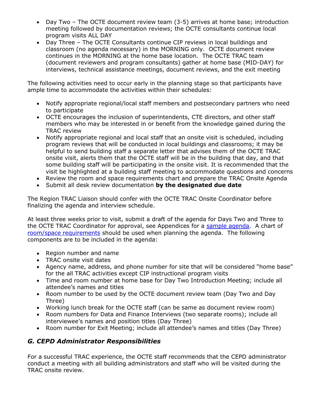- Day Two The OCTE document review team (3-5) arrives at home base; introduction meeting followed by documentation reviews; the OCTE consultants continue local program visits ALL DAY
- Day Three The OCTE Consultants continue CIP reviews in local buildings and classroom (no agenda necessary) in the MORNING only. OCTE document review continues in the MORNING at the home base location. The OCTE TRAC team (document reviewers and program consultants) gather at home base (MID-DAY) for interviews, technical assistance meetings, document reviews, and the exit meeting

The following activities need to occur early in the planning stage so that participants have ample time to accommodate the activities within their schedules:

- Notify appropriate regional/local staff members and postsecondary partners who need to participate
- OCTE encourages the inclusion of superintendents, CTE directors, and other staff members who may be interested in or benefit from the knowledge gained during the TRAC review
- Notify appropriate regional and local staff that an onsite visit is scheduled, including program reviews that will be conducted in local buildings and classrooms; it may be helpful to send building staff a separate letter that advises them of the OCTE TRAC onsite visit, alerts them that the OCTE staff will be in the building that day, and that some building staff will be participating in the onsite visit. It is recommended that the visit be highlighted at a building staff meeting to accommodate questions and concerns
- Review the room and space requirements chart and prepare the TRAC Onsite Agenda
- Submit all desk review documentation **by the designated due date**

The Region TRAC Liaison should confer with the OCTE TRAC Onsite Coordinator before finalizing the agenda and interview schedule.

At least three weeks prior to visit, submit a draft of the agenda for Days Two and Three to the OCTE TRAC Coordinator for approval, see Appendices for a [sample agenda.](#page-18-0) A chart of [room/space requirements](#page-20-0) should be used when planning the agenda. The following components are to be included in the agenda:

- Region number and name
- TRAC onsite visit dates
- Agency name, address, and phone number for site that will be considered "home base" for the all TRAC activities except CIP instructional program visits
- Time and room number at home base for Day Two Introduction Meeting; include all attendee's names and titles
- Room number to be used by the OCTE document review team (Day Two and Day Three)
- Working lunch break for the OCTE staff (can be same as document review room)
- Room numbers for Data and Finance Interviews (two separate rooms); include all interviewee's names and position titles (Day Three)
- Room number for Exit Meeting; include all attendee's names and titles (Day Three)

### <span id="page-8-0"></span>*G. CEPD Administrator Responsibilities*

For a successful TRAC experience, the OCTE staff recommends that the CEPD administrator conduct a meeting with all building administrators and staff who will be visited during the TRAC onsite review.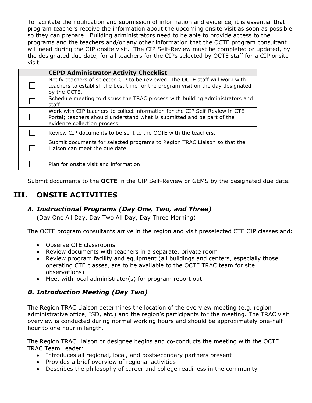To facilitate the notification and submission of information and evidence, it is essential that program teachers receive the information about the upcoming onsite visit as soon as possible so they can prepare. Building administrators need to be able to provide access to the programs and the teachers and/or any other information that the OCTE program consultant will need during the CIP onsite visit. The CIP Self-Review must be completed or updated, by the designated due date, for all teachers for the CIPs selected by OCTE staff for a CIP onsite visit.

| <b>CEPD Administrator Activity Checklist</b>                                                                                                                                            |
|-----------------------------------------------------------------------------------------------------------------------------------------------------------------------------------------|
| Notify teachers of selected CIP to be reviewed. The OCTE staff will work with<br>teachers to establish the best time for the program visit on the day designated<br>by the OCTE.        |
| Schedule meeting to discuss the TRAC process with building administrators and<br>staff.                                                                                                 |
| Work with CIP teachers to collect information for the CIP Self-Review in CTE<br>Portal; teachers should understand what is submitted and be part of the<br>evidence collection process. |
| Review CIP documents to be sent to the OCTE with the teachers.                                                                                                                          |
| Submit documents for selected programs to Region TRAC Liaison so that the<br>Liaison can meet the due date.                                                                             |
| Plan for onsite visit and information                                                                                                                                                   |

Submit documents to the **OCTE** in the CIP Self-Review or GEMS by the designated due date.

### <span id="page-9-1"></span><span id="page-9-0"></span>**III. ONSITE ACTIVITIES**

### *A. Instructional Programs (Day One, Two, and Three)*

(Day One All Day, Day Two All Day, Day Three Morning)

The OCTE program consultants arrive in the region and visit preselected CTE CIP classes and:

- Observe CTE classrooms
- Review documents with teachers in a separate, private room
- Review program facility and equipment (all buildings and centers, especially those operating CTE classes, are to be available to the OCTE TRAC team for site observations)
- Meet with local administrator(s) for program report out

### <span id="page-9-2"></span>*B. Introduction Meeting (Day Two)*

The Region TRAC Liaison determines the location of the overview meeting (e.g. region administrative office, ISD, etc.) and the region's participants for the meeting. The TRAC visit overview is conducted during normal working hours and should be approximately one-half hour to one hour in length.

The Region TRAC Liaison or designee begins and co-conducts the meeting with the OCTE TRAC Team Leader:

- Introduces all regional, local, and postsecondary partners present
- Provides a brief overview of regional activities
- Describes the philosophy of career and college readiness in the community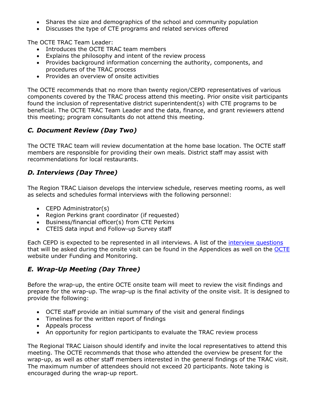- Shares the size and demographics of the school and community population
- Discusses the type of CTE programs and related services offered

The OCTE TRAC Team Leader:

- Introduces the OCTE TRAC team members
- Explains the philosophy and intent of the review process
- Provides background information concerning the authority, components, and procedures of the TRAC process
- Provides an overview of onsite activities

The OCTE recommends that no more than twenty region/CEPD representatives of various components covered by the TRAC process attend this meeting. Prior onsite visit participants found the inclusion of representative district superintendent(s) with CTE programs to be beneficial. The OCTE TRAC Team Leader and the data, finance, and grant reviewers attend this meeting; program consultants do not attend this meeting.

### <span id="page-10-0"></span>*C. Document Review (Day Two)*

The OCTE TRAC team will review documentation at the home base location. The OCTE staff members are responsible for providing their own meals. District staff may assist with recommendations for local restaurants.

### <span id="page-10-1"></span>*D. Interviews (Day Three)*

The Region TRAC Liaison develops the interview schedule, reserves meeting rooms, as well as selects and schedules formal interviews with the following personnel:

- CEPD Administrator(s)
- Region Perkins grant coordinator (if requested)
- Business/financial officer(s) from CTE Perkins
- CTEIS data input and Follow-up Survey staff

Each CEPD is expected to be represented in all interviews. A list of the [interview questions](#page-21-0) that will be asked during the onsite visit can be found in the Appendices as well on the **OCTE** website under Funding and Monitoring.

### <span id="page-10-2"></span>*E. Wrap-Up Meeting (Day Three)*

Before the wrap-up, the entire OCTE onsite team will meet to review the visit findings and prepare for the wrap-up. The wrap-up is the final activity of the onsite visit. It is designed to provide the following:

- OCTE staff provide an initial summary of the visit and general findings
- Timelines for the written report of findings
- Appeals process
- An opportunity for region participants to evaluate the TRAC review process

The Regional TRAC Liaison should identify and invite the local representatives to attend this meeting. The OCTE recommends that those who attended the overview be present for the wrap-up, as well as other staff members interested in the general findings of the TRAC visit. The maximum number of attendees should not exceed 20 participants. Note taking is encouraged during the wrap-up report.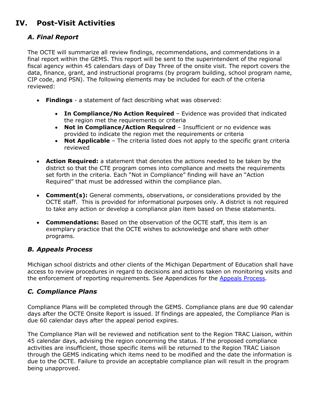# <span id="page-11-1"></span><span id="page-11-0"></span>**IV. Post-Visit Activities**

### *A. Final Report*

The OCTE will summarize all review findings, recommendations, and commendations in a final report within the GEMS. This report will be sent to the superintendent of the regional fiscal agency within 45 calendars days of Day Three of the onsite visit. The report covers the data, finance, grant, and instructional programs (by program building, school program name, CIP code, and PSN). The following elements may be included for each of the criteria reviewed:

- **Findings**  a statement of fact describing what was observed:
	- **In Compliance/No Action Required** Evidence was provided that indicated the region met the requirements or criteria
	- **Not in Compliance/Action Required** Insufficient or no evidence was provided to indicate the region met the requirements or criteria
	- **Not Applicable** The criteria listed does not apply to the specific grant criteria reviewed
- **Action Required:** a statement that denotes the actions needed to be taken by the district so that the CTE program comes into compliance and meets the requirements set forth in the criteria. Each "Not in Compliance" finding will have an "Action Required" that must be addressed within the compliance plan.
- **Comment(s):** General comments, observations, or considerations provided by the OCTE staff. This is provided for informational purposes only. A district is not required to take any action or develop a compliance plan item based on these statements.
- **Commendations:** Based on the observation of the OCTE staff, this item is an exemplary practice that the OCTE wishes to acknowledge and share with other programs.

### <span id="page-11-2"></span>*B. Appeals Process*

Michigan school districts and other clients of the Michigan Department of Education shall have access to review procedures in regard to decisions and actions taken on monitoring visits and the enforcement of reporting requirements. See Appendices for the [Appeals Process.](#page-25-0)

### <span id="page-11-3"></span>*C. Compliance Plans*

Compliance Plans will be completed through the GEMS. Compliance plans are due 90 calendar days after the OCTE Onsite Report is issued. If findings are appealed, the Compliance Plan is due 60 calendar days after the appeal period expires.

The Compliance Plan will be reviewed and notification sent to the Region TRAC Liaison, within 45 calendar days, advising the region concerning the status. If the proposed compliance activities are insufficient, those specific items will be returned to the Region TRAC Liaison through the GEMS indicating which items need to be modified and the date the information is due to the OCTE. Failure to provide an acceptable compliance plan will result in the program being unapproved.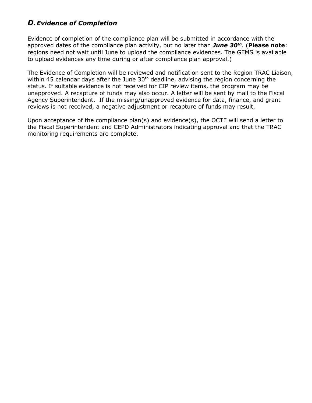### <span id="page-12-0"></span>*D.Evidence of Completion*

Evidence of completion of the compliance plan will be submitted in accordance with the approved dates of the compliance plan activity, but no later than *June 30th*. (**Please note**: regions need not wait until June to upload the compliance evidences. The GEMS is available to upload evidences any time during or after compliance plan approval.)

The Evidence of Completion will be reviewed and notification sent to the Region TRAC Liaison, within 45 calendar days after the June  $30<sup>th</sup>$  deadline, advising the region concerning the status. If suitable evidence is not received for CIP review items, the program may be unapproved. A recapture of funds may also occur. A letter will be sent by mail to the Fiscal Agency Superintendent. If the missing/unapproved evidence for data, finance, and grant reviews is not received, a negative adjustment or recapture of funds may result.

Upon acceptance of the compliance plan(s) and evidence(s), the OCTE will send a letter to the Fiscal Superintendent and CEPD Administrators indicating approval and that the TRAC monitoring requirements are complete.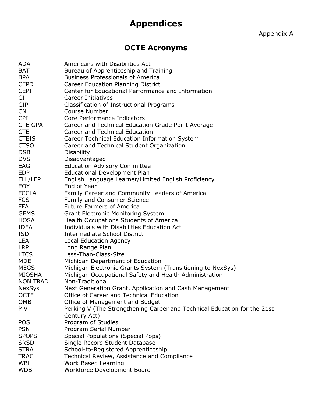# **Appendices**

Appendix A

# **OCTE Acronyms**

<span id="page-13-1"></span><span id="page-13-0"></span>

| ADA             | Americans with Disabilities Act                                          |
|-----------------|--------------------------------------------------------------------------|
| <b>BAT</b>      | Bureau of Apprenticeship and Training                                    |
| <b>BPA</b>      | <b>Business Professionals of America</b>                                 |
| <b>CEPD</b>     | <b>Career Education Planning District</b>                                |
| <b>CEPI</b>     | Center for Educational Performance and Information                       |
| CI              | <b>Career Initiatives</b>                                                |
| <b>CIP</b>      | Classification of Instructional Programs                                 |
| <b>CN</b>       | Course Number                                                            |
| <b>CPI</b>      | Core Performance Indicators                                              |
| <b>CTE GPA</b>  | Career and Technical Education Grade Point Average                       |
| <b>CTE</b>      | <b>Career and Technical Education</b>                                    |
| <b>CTEIS</b>    | Career Technical Education Information System                            |
| <b>CTSO</b>     | Career and Technical Student Organization                                |
| <b>DSB</b>      | <b>Disability</b>                                                        |
| <b>DVS</b>      | Disadvantaged                                                            |
| EAG             | <b>Education Advisory Committee</b>                                      |
| <b>EDP</b>      | <b>Educational Development Plan</b>                                      |
| ELL/LEP         | English Language Learner/Limited English Proficiency                     |
| <b>EOY</b>      | End of Year                                                              |
| <b>FCCLA</b>    | Family Career and Community Leaders of America                           |
| <b>FCS</b>      | <b>Family and Consumer Science</b>                                       |
| <b>FFA</b>      | <b>Future Farmers of America</b>                                         |
| <b>GEMS</b>     | <b>Grant Electronic Monitoring System</b>                                |
| <b>HOSA</b>     | Health Occupations Students of America                                   |
| <b>IDEA</b>     | Individuals with Disabilities Education Act                              |
| ISD             | Intermediate School District                                             |
| LEA             | <b>Local Education Agency</b>                                            |
| LRP             | Long Range Plan                                                          |
| <b>LTCS</b>     | Less-Than-Class-Size                                                     |
| <b>MDE</b>      | Michigan Department of Education                                         |
| <b>MEGS</b>     | Michigan Electronic Grants System (Transitioning to NexSys)              |
| <b>MIOSHA</b>   | Michigan Occupational Safety and Health Administration                   |
| <b>NON TRAD</b> | Non-Traditional                                                          |
| <b>NexSys</b>   | Next Generation Grant, Application and Cash Management                   |
| <b>OCTE</b>     | Office of Career and Technical Education                                 |
| OMB             | Office of Management and Budget                                          |
| P V             | Perking V (The Strengthening Career and Technical Education for the 21st |
|                 | Century Act)                                                             |
| <b>POS</b>      | Program of Studies                                                       |
| <b>PSN</b>      |                                                                          |
|                 | Program Serial Number                                                    |
| <b>SPOPS</b>    | Special Populations (Special Pops)                                       |
| <b>SRSD</b>     | Single Record Student Database                                           |
| <b>STRA</b>     | School-to-Registered Apprenticeship                                      |
| <b>TRAC</b>     | Technical Review, Assistance and Compliance                              |
| <b>WBL</b>      | Work Based Learning                                                      |
| <b>WDB</b>      | Workforce Development Board                                              |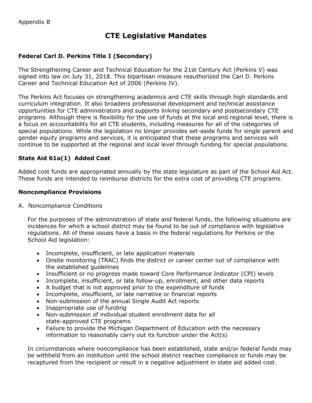# **CTE Legislative Mandates**

### <span id="page-14-0"></span>**Federal Carl D. Perkins Title I (Secondary)**

The Strengthening Career and Technical Education for the 21st Century Act (Perkins V) was signed into law on July 31, 2018. This bipartisan measure reauthorized the Carl D. Perkins Career and Technical Education Act of 2006 (Perkins IV).

The Perkins Act focuses on strengthening academics and CTE skills through high standards and curriculum integration. It also broadens professional development and technical assistance opportunities for CTE administrators and supports linking secondary and postsecondary CTE programs. Although there is flexibility for the use of funds at the local and regional level, there is a focus on accountability for all CTE students, including measures for all of the categories of special populations. While the legislation no longer provides set-aside funds for single parent and gender equity programs and services, it is anticipated that these programs and services will continue to be supported at the regional and local level through funding for special populations.

### **State Aid 61a(1) Added Cost**

Added cost funds are appropriated annually by the state legislature as part of the School Aid Act. These funds are intended to reimburse districts for the extra cost of providing CTE programs.

### **Noncompliance Provisions**

A. Noncompliance Conditions

For the purposes of the administration of state and federal funds, the following situations are incidences for which a school district may be found to be out of compliance with legislative regulations. All of these issues have a basis in the federal regulations for Perkins or the School Aid legislation:

- Incomplete, insufficient, or late application materials
- Onsite monitoring (TRAC) finds the district or career center out of compliance with the established guidelines
- Insufficient or no progress made toward Core Performance Indicator (CPI) levels
- Incomplete, insufficient, or late follow-up, enrollment, and other data reports
- A budget that is not approved prior to the expenditure of funds
- Incomplete, insufficient, or late narrative or financial reports
- Non-submission of the annual Single Audit Act reports
- Inappropriate use of funding
- Non-submission of individual student enrollment data for all state-approved CTE programs
- Failure to provide the Michigan Department of Education with the necessary information to reasonably carry out its function under the Act(s)

In circumstances where noncompliance has been established, state and/or federal funds may be withheld from an institution until the school district reaches compliance or funds may be recaptured from the recipient or result in a negative adjustment in state aid added cost.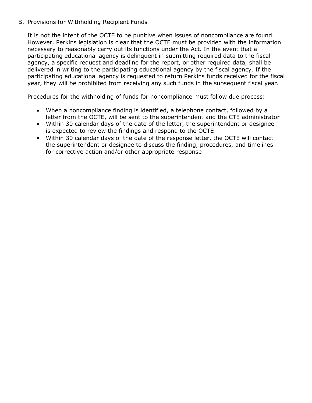### B. Provisions for Withholding Recipient Funds

It is not the intent of the OCTE to be punitive when issues of noncompliance are found. However, Perkins legislation is clear that the OCTE must be provided with the information necessary to reasonably carry out its functions under the Act. In the event that a participating educational agency is delinquent in submitting required data to the fiscal agency, a specific request and deadline for the report, or other required data, shall be delivered in writing to the participating educational agency by the fiscal agency. If the participating educational agency is requested to return Perkins funds received for the fiscal year, they will be prohibited from receiving any such funds in the subsequent fiscal year.

Procedures for the withholding of funds for noncompliance must follow due process:

- When a noncompliance finding is identified, a telephone contact, followed by a letter from the OCTE, will be sent to the superintendent and the CTE administrator
- Within 30 calendar days of the date of the letter, the superintendent or designee is expected to review the findings and respond to the OCTE
- Within 30 calendar days of the date of the response letter, the OCTE will contact the superintendent or designee to discuss the finding, procedures, and timelines for corrective action and/or other appropriate response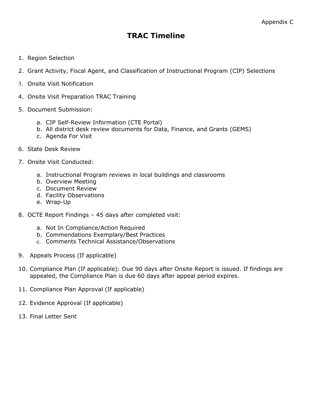# **TRAC Timeline**

- <span id="page-16-0"></span>1. Region Selection
- 2. Grant Activity, Fiscal Agent, and Classification of Instructional Program (CIP) Selections
- 3. Onsite Visit Notification
- 4. Onsite Visit Preparation TRAC Training
- 5. Document Submission:
	- a. CIP Self-Review Information (CTE Portal)
	- b. All district desk review documents for Data, Finance, and Grants (GEMS)
	- c. Agenda For Visit
- 6. State Desk Review
- 7. Onsite Visit Conducted:
	- a. Instructional Program reviews in local buildings and classrooms
	- b. Overview Meeting
	- c. Document Review
	- d. Facility Observations
	- e. Wrap-Up
- 8. OCTE Report Findings 45 days after completed visit:
	- a. Not In Compliance/Action Required
	- b. Commendations Exemplary/Best Practices
	- c. Comments Technical Assistance/Observations
- 9. Appeals Process (If applicable)
- 10. Compliance Plan (If applicable): Due 90 days after Onsite Report is issued. If findings are appealed, the Compliance Plan is due 60 days after appeal period expires.
- 11. Compliance Plan Approval (If applicable)
- 12. Evidence Approval (If applicable)
- 13. Final Letter Sent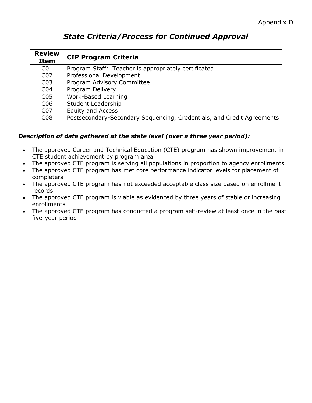# *State Criteria/Process for Continued Approval*

<span id="page-17-0"></span>

| <b>Review</b><br><b>Item</b> | <b>CIP Program Criteria</b>                                            |
|------------------------------|------------------------------------------------------------------------|
| C <sub>01</sub>              | Program Staff: Teacher is appropriately certificated                   |
| CO <sub>2</sub>              | Professional Development                                               |
| CO <sub>3</sub>              | Program Advisory Committee                                             |
| CO <sub>4</sub>              | Program Delivery                                                       |
| C <sub>05</sub>              | Work-Based Learning                                                    |
| C <sub>06</sub>              | <b>Student Leadership</b>                                              |
| CO <sub>7</sub>              | <b>Equity and Access</b>                                               |
| C <sub>08</sub>              | Postsecondary-Secondary Sequencing, Credentials, and Credit Agreements |

### *Description of data gathered at the state level (over a three year period):*

- The approved Career and Technical Education (CTE) program has shown improvement in CTE student achievement by program area
- The approved CTE program is serving all populations in proportion to agency enrollments
- The approved CTE program has met core performance indicator levels for placement of completers
- The approved CTE program has not exceeded acceptable class size based on enrollment records
- The approved CTE program is viable as evidenced by three years of stable or increasing enrollments
- The approved CTE program has conducted a program self-review at least once in the past five-year period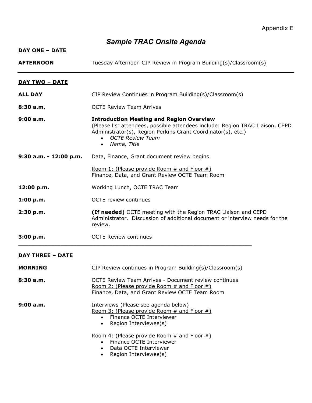# *Sample TRAC Onsite Agenda*

<span id="page-18-0"></span>

| <u>DAY ONE – DATE</u>   |                                                                                                                                                                                                                                                                |  |  |
|-------------------------|----------------------------------------------------------------------------------------------------------------------------------------------------------------------------------------------------------------------------------------------------------------|--|--|
| <b>AFTERNOON</b>        | Tuesday Afternoon CIP Review in Program Building(s)/Classroom(s)                                                                                                                                                                                               |  |  |
| <u>DAY TWO – DATE</u>   |                                                                                                                                                                                                                                                                |  |  |
| <b>ALL DAY</b>          | CIP Review Continues in Program Building(s)/Classroom(s)                                                                                                                                                                                                       |  |  |
| 8:30 a.m.               | <b>OCTE Review Team Arrives</b>                                                                                                                                                                                                                                |  |  |
| 9:00 a.m.               | <b>Introduction Meeting and Region Overview</b><br>(Please list attendees, possible attendees include: Region TRAC Liaison, CEPD<br>Administrator(s), Region Perkins Grant Coordinator(s), etc.)<br><b>OCTE Review Team</b><br>Name, Title<br>$\bullet$        |  |  |
| 9:30 a.m. - 12:00 p.m.  | Data, Finance, Grant document review begins                                                                                                                                                                                                                    |  |  |
|                         | Room 1: (Please provide Room # and Floor #)<br>Finance, Data, and Grant Review OCTE Team Room                                                                                                                                                                  |  |  |
| 12:00 p.m.              | Working Lunch, OCTE TRAC Team                                                                                                                                                                                                                                  |  |  |
| 1:00 p.m.               | <b>OCTE</b> review continues                                                                                                                                                                                                                                   |  |  |
| 2:30 p.m.               | <b>(If needed)</b> OCTE meeting with the Region TRAC Liaison and CEPD<br>Administrator. Discussion of additional document or interview needs for the<br>review.                                                                                                |  |  |
| 3:00 p.m.               | <b>OCTE Review continues</b>                                                                                                                                                                                                                                   |  |  |
| <u>DAY THREE - DATE</u> |                                                                                                                                                                                                                                                                |  |  |
| <b>MORNING</b>          | CIP Review continues in Program Building(s)/Classroom(s)                                                                                                                                                                                                       |  |  |
| 8:30a.m.                | <b>OCTE Review Team Arrives - Document review continues</b><br>Room 2: (Please provide Room # and Floor #)<br>Finance, Data, and Grant Review OCTE Team Room                                                                                                   |  |  |
| 9:00a.m.                | Interviews (Please see agenda below)<br>Room 3: (Please provide Room # and Floor #)<br>Finance OCTE Interviewer<br>Region Interviewee(s)<br>$\bullet$<br>Room 4: (Please provide Room $#$ and Floor $#$ )<br>Finance OCTE Interviewer<br>Data OCTE Interviewer |  |  |
|                         | Region Interviewee(s)                                                                                                                                                                                                                                          |  |  |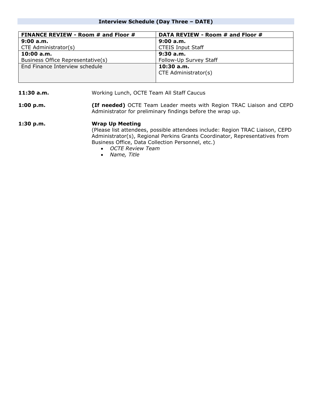#### **Interview Schedule (Day Three – DATE)**

| <b>FINANCE REVIEW - Room # and Floor #</b> | DATA REVIEW - Room # and Floor # |
|--------------------------------------------|----------------------------------|
| 9:00 a.m.                                  | 9:00a.m.                         |
| CTE Administrator(s)                       | <b>CTEIS Input Staff</b>         |
| 10:00a.m.                                  | 9:30a.m.                         |
| Business Office Representative(s)          | Follow-Up Survey Staff           |
| End Finance Interview schedule             | $10:30$ a.m.                     |
|                                            | CTE Administrator(s)             |
|                                            |                                  |

11:30 a.m. **Morking Lunch, OCTE Team All Staff Caucus** 

**1:00 p.m. (If needed)** OCTE Team Leader meets with Region TRAC Liaison and CEPD Administrator for preliminary findings before the wrap up.

**1:30 p.m. Wrap Up Meeting** (Please list attendees, possible attendees include: Region TRAC Liaison, CEPD Administrator(s), Regional Perkins Grants Coordinator, Representatives from Business Office, Data Collection Personnel, etc.) • *OCTE Review Team*

- *Name, Title*
-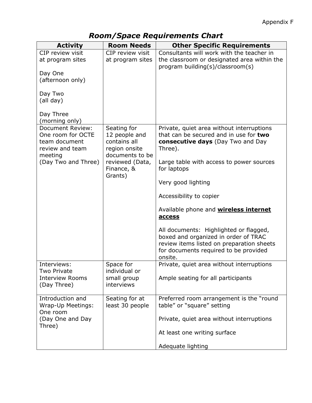# *Room/Space Requirements Chart*

<span id="page-20-0"></span>

| <b>Activity</b>                                                                             | <b>Room Needs</b>                                                                | <b>Other Specific Requirements</b>                                                                                                                                              |
|---------------------------------------------------------------------------------------------|----------------------------------------------------------------------------------|---------------------------------------------------------------------------------------------------------------------------------------------------------------------------------|
| CIP review visit<br>at program sites                                                        | CIP review visit<br>at program sites                                             | Consultants will work with the teacher in<br>the classroom or designated area within the<br>program building(s)/classroom(s)                                                    |
| Day One<br>(afternoon only)                                                                 |                                                                                  |                                                                                                                                                                                 |
| Day Two<br>(all day)                                                                        |                                                                                  |                                                                                                                                                                                 |
| Day Three<br>(morning only)                                                                 |                                                                                  |                                                                                                                                                                                 |
| <b>Document Review:</b><br>One room for OCTE<br>team document<br>review and team<br>meeting | Seating for<br>12 people and<br>contains all<br>region onsite<br>documents to be | Private, quiet area without interruptions<br>that can be secured and in use for two<br><b>consecutive days</b> (Day Two and Day<br>Three).                                      |
| (Day Two and Three)                                                                         | reviewed (Data,<br>Finance, &<br>Grants)                                         | Large table with access to power sources<br>for laptops                                                                                                                         |
|                                                                                             |                                                                                  | Very good lighting                                                                                                                                                              |
|                                                                                             |                                                                                  | Accessibility to copier                                                                                                                                                         |
|                                                                                             |                                                                                  | Available phone and <b>wireless internet</b><br>access                                                                                                                          |
|                                                                                             |                                                                                  | All documents: Highlighted or flagged,<br>boxed and organized in order of TRAC<br>review items listed on preparation sheets<br>for documents required to be provided<br>onsite. |
| Interviews:<br><b>Two Private</b><br><b>Interview Rooms</b><br>(Day Three)                  | Space for<br>individual or<br>small group<br>interviews                          | Private, quiet area without interruptions<br>Ample seating for all participants                                                                                                 |
| Introduction and<br>Wrap-Up Meetings:<br>One room                                           | Seating for at<br>least 30 people                                                | Preferred room arrangement is the "round<br>table" or "square" setting                                                                                                          |
| (Day One and Day<br>Three)                                                                  |                                                                                  | Private, quiet area without interruptions                                                                                                                                       |
|                                                                                             |                                                                                  | At least one writing surface                                                                                                                                                    |
|                                                                                             |                                                                                  | Adequate lighting                                                                                                                                                               |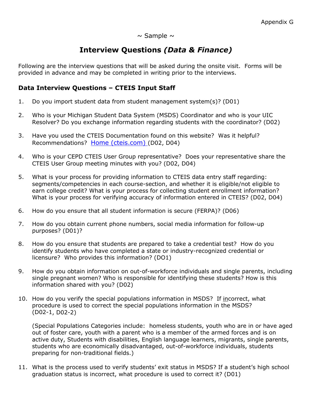$\sim$  Sample  $\sim$ 

## **Interview Questions** *(Data & Finance)*

<span id="page-21-0"></span>Following are the interview questions that will be asked during the onsite visit. Forms will be provided in advance and may be completed in writing prior to the interviews.

### <span id="page-21-1"></span>**Data Interview Questions – CTEIS Input Staff**

- 1. Do you import student data from student management system(s)? (D01)
- 2. Who is your Michigan Student Data System (MSDS) Coordinator and who is your UIC Resolver? Do you exchange information regarding students with the coordinator? (D02)
- 3. Have you used the CTEIS Documentation found on this website? Was it helpful? Recommendations? [Home \(cteis.com\)](http://support.cteis.com/) (D02, D04)
- 4. Who is your CEPD CTEIS User Group representative? Does your representative share the CTEIS User Group meeting minutes with you? (D02, D04)
- 5. What is your process for providing information to CTEIS data entry staff regarding: segments/competencies in each course-section, and whether it is eligible/not eligible to earn college credit? What is your process for collecting student enrollment information? What is your process for verifying accuracy of information entered in CTEIS? (D02, D04)
- 6. How do you ensure that all student information is secure (FERPA)? (D06)
- 7. How do you obtain current phone numbers, social media information for follow-up purposes? (D01)?
- 8. How do you ensure that students are prepared to take a credential test? How do you identify students who have completed a state or industry-recognized credential or licensure? Who provides this information? (DO1)
- 9. How do you obtain information on out-of-workforce individuals and single parents, including single pregnant women? Who is responsible for identifying these students? How is this information shared with you? (D02)
- 10. How do you verify the special populations information in MSDS? If incorrect, what procedure is used to correct the special populations information in the MSDS? (D02-1, D02-2)

(Special Populations Categories include: homeless students, youth who are in or have aged out of foster care, youth with a parent who is a member of the armed forces and is on active duty, Students with disabilities, English language learners, migrants, single parents, students who are economically disadvantaged, out-of-workforce individuals, students preparing for non-traditional fields.)

11. What is the process used to verify students' exit status in MSDS? If a student's high school graduation status is incorrect, what procedure is used to correct it? (D01)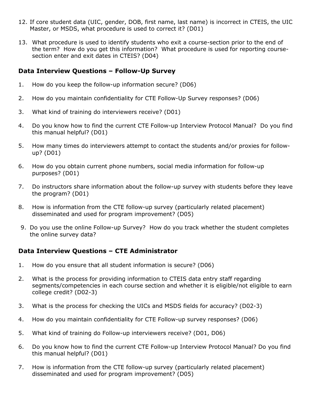- 12. If core student data (UIC, gender, DOB, first name, last name) is incorrect in CTEIS, the UIC Master, or MSDS, what procedure is used to correct it? (D01)
- 13. What procedure is used to identify students who exit a course-section prior to the end of the term? How do you get this information? What procedure is used for reporting coursesection enter and exit dates in CTEIS? (D04)

### <span id="page-22-0"></span>**Data Interview Questions – Follow-Up Survey**

- 1. How do you keep the follow-up information secure? (D06)
- 2. How do you maintain confidentiality for CTE Follow-Up Survey responses? (D06)
- 3. What kind of training do interviewers receive? (D01)
- 4. Do you know how to find the current CTE Follow-up Interview Protocol Manual? Do you find this manual helpful? (D01)
- 5. How many times do interviewers attempt to contact the students and/or proxies for followup? (D01)
- 6. How do you obtain current phone numbers, social media information for follow-up purposes? (D01)
- 7. Do instructors share information about the follow-up survey with students before they leave the program? (D01)
- 8. How is information from the CTE follow-up survey (particularly related placement) disseminated and used for program improvement? (D05)
- 9. Do you use the online Follow-up Survey? How do you track whether the student completes the online survey data?

### <span id="page-22-1"></span>**Data Interview Questions – CTE Administrator**

- 1. How do you ensure that all student information is secure? (D06)
- 2. What is the process for providing information to CTEIS data entry staff regarding segments/competencies in each course section and whether it is eligible/not eligible to earn college credit? (D02-3)
- 3. What is the process for checking the UICs and MSDS fields for accuracy? (D02-3)
- 4. How do you maintain confidentiality for CTE Follow-up survey responses? (D06)
- 5. What kind of training do Follow-up interviewers receive? (D01, D06)
- 6. Do you know how to find the current CTE Follow-up Interview Protocol Manual? Do you find this manual helpful? (D01)
- 7. How is information from the CTE follow-up survey (particularly related placement) disseminated and used for program improvement? (D05)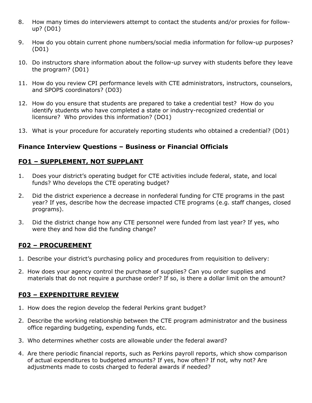- 8. How many times do interviewers attempt to contact the students and/or proxies for followup? (D01)
- 9. How do you obtain current phone numbers/social media information for follow-up purposes? (D01)
- 10. Do instructors share information about the follow-up survey with students before they leave the program? (D01)
- 11. How do you review CPI performance levels with CTE administrators, instructors, counselors, and SPOPS coordinators? (D03)
- 12. How do you ensure that students are prepared to take a credential test? How do you identify students who have completed a state or industry-recognized credential or licensure? Who provides this information? (DO1)
- 13. What is your procedure for accurately reporting students who obtained a credential? (D01)

### <span id="page-23-0"></span>**Finance Interview Questions – Business or Financial Officials**

### **FO1 – SUPPLEMENT, NOT SUPPLANT**

- 1. Does your district's operating budget for CTE activities include federal, state, and local funds? Who develops the CTE operating budget?
- 2. Did the district experience a decrease in nonfederal funding for CTE programs in the past year? If yes, describe how the decrease impacted CTE programs (e.g. staff changes, closed programs).
- 3. Did the district change how any CTE personnel were funded from last year? If yes, who were they and how did the funding change?

### **F02 – PROCUREMENT**

- 1. Describe your district's purchasing policy and procedures from requisition to delivery:
- 2. How does your agency control the purchase of supplies? Can you order supplies and materials that do not require a purchase order? If so, is there a dollar limit on the amount?

### **F03 – EXPENDITURE REVIEW**

- 1. How does the region develop the federal Perkins grant budget?
- 2. Describe the working relationship between the CTE program administrator and the business office regarding budgeting, expending funds, etc.
- 3. Who determines whether costs are allowable under the federal award?
- 4. Are there periodic financial reports, such as Perkins payroll reports, which show comparison of actual expenditures to budgeted amounts? If yes, how often? If not, why not? Are adjustments made to costs charged to federal awards if needed?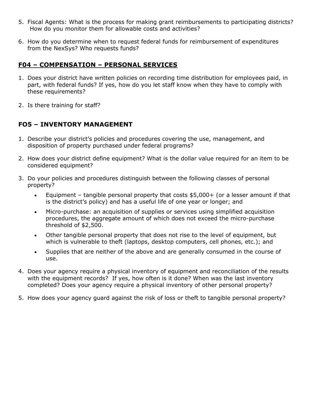- 5. Fiscal Agents: What is the process for making grant reimbursements to participating districts? How do you monitor them for allowable costs and activities?
- 6. How do you determine when to request federal funds for reimbursement of expenditures from the NexSys? Who requests funds?

### **F04 – COMPENSATION – PERSONAL SERVICES**

- 1. Does your district have written policies on recording time distribution for employees paid, in part, with federal funds? If yes, how do you let staff know when they have to comply with these requirements?
- 2. Is there training for staff?

### **FO5 – INVENTORY MANAGEMENT**

- 1. Describe your district's policies and procedures covering the use, management, and disposition of property purchased under federal programs?
- 2. How does your district define equipment? What is the dollar value required for an item to be considered equipment?
- 3. Do your policies and procedures distinguish between the following classes of personal property?
	- Equipment tangible personal property that costs \$5,000+ (or a lesser amount if that is the district's policy) and has a useful life of one year or longer; and
	- Micro-purchase: an acquisition of supplies or services using simplified acquisition procedures, the aggregate amount of which does not exceed the micro-purchase threshold of \$2,500.
	- Other tangible personal property that does not rise to the level of equipment, but which is vulnerable to theft (laptops, desktop computers, cell phones, etc.); and
	- Supplies that are neither of the above and are generally consumed in the course of use.
- 4. Does your agency require a physical inventory of equipment and reconciliation of the results with the equipment records? If yes, how often is it done? When was the last inventory completed? Does your agency require a physical inventory of other personal property?
- 5. How does your agency guard against the risk of loss or theft to tangible personal property?